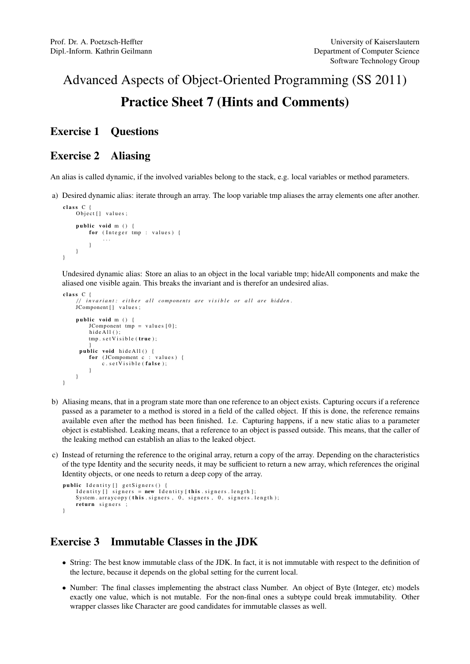# Advanced Aspects of Object-Oriented Programming (SS 2011) Practice Sheet 7 (Hints and Comments)

#### Exercise 1 Questions

### Exercise 2 Aliasing

An alias is called dynamic, if the involved variables belong to the stack, e.g. local variables or method parameters.

a) Desired dynamic alias: iterate through an array. The loop variable tmp aliases the array elements one after another.

```
class C {
    Object [] values;
    public void m () {
        for (Integer tmp : values) {
             . . .
        }
    }
}
```
Undesired dynamic alias: Store an alias to an object in the local variable tmp; hideAll components and make the aliased one visible again. This breaks the invariant and is therefor an undesired alias.

```
class \ C {
       invariant: either all components are visible or all are hidden.
    JComponent [] values;
    public void m \cap \ellJComponent tmp = values [0];
         hide\overrightarrow{A}11();
         tmp.setVisible (true);}<br>public void hideAll() {
         for (JCompoment c : values) {
             c. set V isible (false):
         }
    }
}
```
- b) Aliasing means, that in a program state more than one reference to an object exists. Capturing occurs if a reference passed as a parameter to a method is stored in a field of the called object. If this is done, the reference remains available even after the method has been finished. I.e. Capturing happens, if a new static alias to a parameter object is established. Leaking means, that a reference to an object is passed outside. This means, that the caller of the leaking method can establish an alias to the leaked object.
- c) Instead of returning the reference to the original array, return a copy of the array. Depending on the characteristics of the type Identity and the security needs, it may be sufficient to return a new array, which references the original Identity objects, or one needs to return a deep copy of the array.

```
public Identity [] getSigners () {
               Identity \begin{bmatrix} \overline{\phantom{a}} & \overline{\phantom{a}} & \overline{\phantom{a}} \\ \overline{\phantom{a}} & \overline{\phantom{a}} & \overline{\phantom{a}} \\ \overline{\phantom{a}} & \overline{\phantom{a}} & \overline{\phantom{a}} \\ \overline{\phantom{a}} & \overline{\phantom{a}} & \overline{\phantom{a}} \\ \overline{\phantom{a}} & \overline{\phantom{a}} & \overline{\phantom{a}} \\ \overline{\phantom{a}} & \overline{\phantom{a}} & \overline{\phantom{a}} \\ \overline{\phantom{a}} & \overline{\phantom{a}} & \overline{\phantSystem . arraycopy (this . signers, 0, signers, 0, signers . length);
               return signers ;
}
```
## Exercise 3 Immutable Classes in the JDK

- String: The best know immutable class of the JDK. In fact, it is not immutable with respect to the definition of the lecture, because it depends on the global setting for the current local.
- Number: The final classes implementing the abstract class Number. An object of Byte (Integer, etc) models exactly one value, which is not mutable. For the non-final ones a subtype could break immutability. Other wrapper classes like Character are good candidates for immutable classes as well.